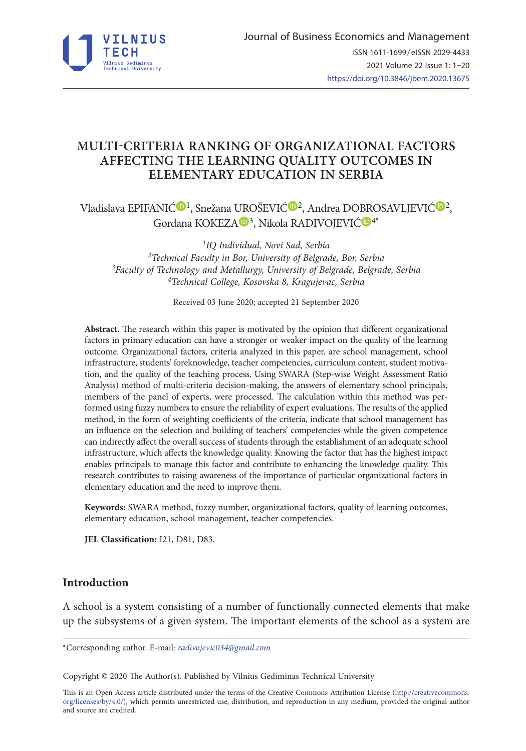

# **MULTI-CRITERIA RANKING OF ORGANIZATIONAL FACTORS AFFECTING THE LEARNING QUALITY OUTCOMES IN ELEMENTARY EDUCATION IN SERBIA**

Vladislava EPIFANIĆ<sup>®[1](https://orcid.org/0000-0003-3192-8306)</sup>, Snežana UROŠEVI[Ć](https://orcid.org/0000-0002-6647-0449)<sup>®2</sup>, Andrea DOBROSAVLJEVIĆ<sup>®2</sup>, Gordana KOKEZA <sup>10[3](https://orcid.org/0000-0001-8037-5985)3)</sup>, Nikola RADIVOJEVIĆ <sup>14\*</sup>

*1IQ Individual, Novi Sad, Serbia 2Technical Faculty in Bor, University of Belgrade, Bor, Serbia 3Faculty of Technology and Metallurgy, University of Belgrade, Belgrade, Serbia 4Technical College, Kosovska 8, Kragujevac, Serbia*

Received 03 June 2020; accepted 21 September 2020

**Abstract.** The research within this paper is motivated by the opinion that different organizational factors in primary education can have a stronger or weaker impact on the quality of the learning outcome. Organizational factors, criteria analyzed in this paper, are school management, school infrastructure, students' foreknowledge, teacher competencies, curriculum content, student motivation, and the quality of the teaching process. Using SWARA (Step-wise Weight Assessment Ratio Analysis) method of multi-criteria decision-making, the answers of elementary school principals, members of the panel of experts, were processed. The calculation within this method was performed using fuzzy numbers to ensure the reliability of expert evaluations. The results of the applied method, in the form of weighting coefficients of the criteria, indicate that school management has an influence on the selection and building of teachers' competencies while the given competence can indirectly affect the overall success of students through the establishment of an adequate school infrastructure, which affects the knowledge quality. Knowing the factor that has the highest impact enables principals to manage this factor and contribute to enhancing the knowledge quality. This research contributes to raising awareness of the importance of particular organizational factors in elementary education and the need to improve them.

**Keywords:** SWARA method, fuzzy number, organizational factors, quality of learning outcomes, elementary education, school management, teacher competencies.

**JEL Classification:** I21, D81, D83.

## **Introduction**

A school is a system consisting of a number of functionally connected elements that make up the subsystems of a given system. The important elements of the school as a system are

\*Corresponding author. E-mail: *radivojevic034@gmail.com*

Copyright © 2020 The Author(s). Published by Vilnius Gediminas Technical University

This is an Open Access article distributed under the terms of the Creative Commons Attribution License ([http://creativecommons.](http://dx.doi.org/10.1016/S0377-2217(03)00091-2) [org/licenses/by/4.0/\)](http://dx.doi.org/10.1016/S0377-2217(03)00091-2), which permits unrestricted use, distribution, and reproduction in any medium, provided the original author and source are credited.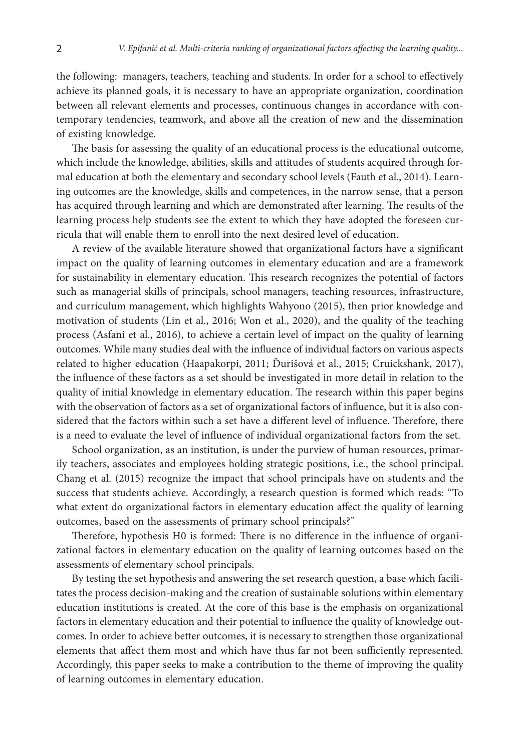the following: managers, teachers, teaching and students. In order for a school to effectively achieve its planned goals, it is necessary to have an appropriate organization, coordination between all relevant elements and processes, continuous changes in accordance with contemporary tendencies, teamwork, and above all the creation of new and the dissemination of existing knowledge.

The basis for assessing the quality of an educational process is the educational outcome, which include the knowledge, abilities, skills and attitudes of students acquired through formal education at both the elementary and secondary school levels (Fauth et al., 2014). Learning outcomes are the knowledge, skills and competences, in the narrow sense, that a person has acquired through learning and which are demonstrated after learning. The results of the learning process help students see the extent to which they have adopted the foreseen curricula that will enable them to enroll into the next desired level of education.

A review of the available literature showed that organizational factors have a significant impact on the quality of learning outcomes in elementary education and are a framework for sustainability in elementary education. This research recognizes the potential of factors such as managerial skills of principals, school managers, teaching resources, infrastructure, and curriculum management, which highlights Wahyono (2015), then prior knowledge and motivation of students (Lin et al., 2016; Won et al., 2020), and the quality of the teaching process (Asfani et al., 2016), to achieve a certain level of impact on the quality of learning outcomes. While many studies deal with the influence of individual factors on various aspects related to higher education (Haapakorpi, 2011; Ďurišová et al., 2015; Cruickshank, 2017), the influence of these factors as a set should be investigated in more detail in relation to the quality of initial knowledge in elementary education. The research within this paper begins with the observation of factors as a set of organizational factors of influence, but it is also considered that the factors within such a set have a different level of influence. Therefore, there is a need to evaluate the level of influence of individual organizational factors from the set.

School organization, as an institution, is under the purview of human resources, primarily teachers, associates and employees holding strategic positions, i.e., the school principal. Chang et al. (2015) recognize the impact that school principals have on students and the success that students achieve. Accordingly, a research question is formed which reads: "To what extent do organizational factors in elementary education affect the quality of learning outcomes, based on the assessments of primary school principals?"

Therefore, hypothesis H0 is formed: There is no difference in the influence of organizational factors in elementary education on the quality of learning outcomes based on the assessments of elementary school principals.

By testing the set hypothesis and answering the set research question, a base which facilitates the process decision-making and the creation of sustainable solutions within elementary education institutions is created. At the core of this base is the emphasis on organizational factors in elementary education and their potential to influence the quality of knowledge outcomes. In order to achieve better outcomes, it is necessary to strengthen those organizational elements that affect them most and which have thus far not been sufficiently represented. Accordingly, this paper seeks to make a contribution to the theme of improving the quality of learning outcomes in elementary education.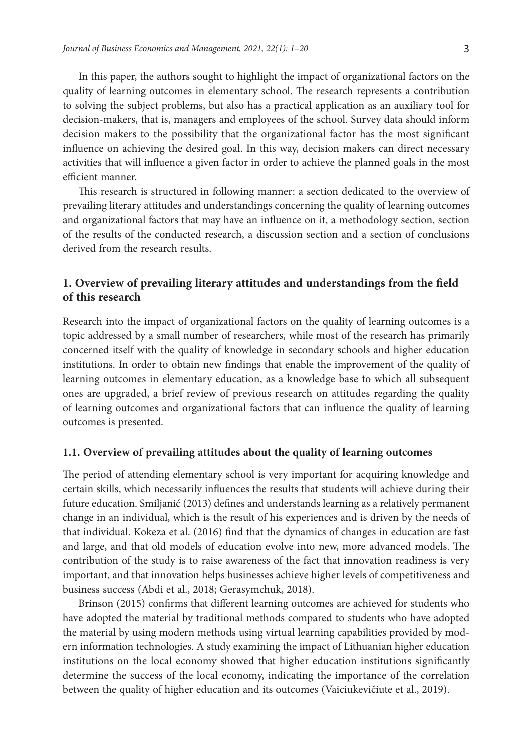In this paper, the authors sought to highlight the impact of organizational factors on the quality of learning outcomes in elementary school. The research represents a contribution to solving the subject problems, but also has a practical application as an auxiliary tool for decision-makers, that is, managers and employees of the school. Survey data should inform decision makers to the possibility that the organizational factor has the most significant influence on achieving the desired goal. In this way, decision makers can direct necessary activities that will influence a given factor in order to achieve the planned goals in the most efficient manner.

This research is structured in following manner: a section dedicated to the overview of prevailing literary attitudes and understandings concerning the quality of learning outcomes and organizational factors that may have an influence on it, a methodology section, section of the results of the conducted research, a discussion section and a section of conclusions derived from the research results.

# **1. Overview of prevailing literary attitudes and understandings from the field of this research**

Research into the impact of organizational factors on the quality of learning outcomes is a topic addressed by a small number of researchers, while most of the research has primarily concerned itself with the quality of knowledge in secondary schools and higher education institutions. In order to obtain new findings that enable the improvement of the quality of learning outcomes in elementary education, as a knowledge base to which all subsequent ones are upgraded, a brief review of previous research on attitudes regarding the quality of learning outcomes and organizational factors that can influence the quality of learning outcomes is presented.

## **1.1. Overview of prevailing attitudes about the quality of learning outcomes**

The period of attending elementary school is very important for acquiring knowledge and certain skills, which necessarily influences the results that students will achieve during their future education. Smiljanić (2013) defines and understands learning as a relatively permanent change in an individual, which is the result of his experiences and is driven by the needs of that individual. Kokeza et al. (2016) find that the dynamics of changes in education are fast and large, and that old models of education evolve into new, more advanced models. The contribution of the study is to raise awareness of the fact that innovation readiness is very important, and that innovation helps businesses achieve higher levels of competitiveness and business success (Abdi et al., 2018; Gerasymchuk, 2018).

Brinson (2015) confirms that different learning outcomes are achieved for students who have adopted the material by traditional methods compared to students who have adopted the material by using modern methods using virtual learning capabilities provided by modern information technologies. A study examining the impact of Lithuanian higher education institutions on the local economy showed that higher education institutions significantly determine the success of the local economy, indicating the importance of the correlation between the quality of higher education and its outcomes (Vaiciukevičiute et al., 2019).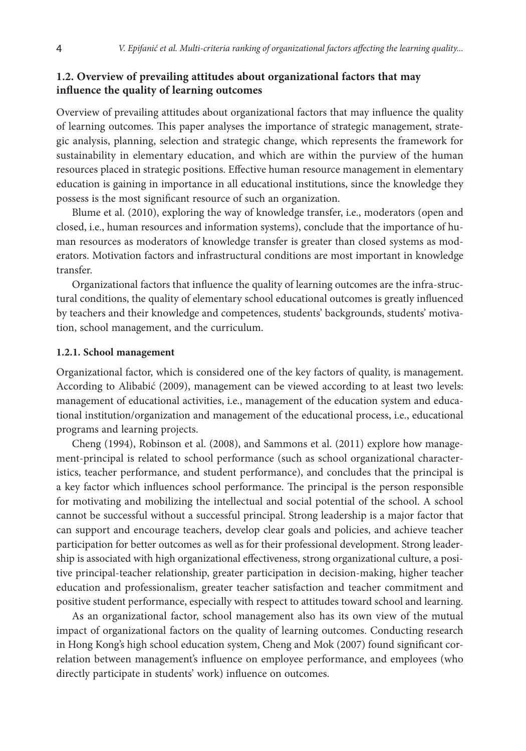## **1.2. Overview of prevailing attitudes about organizational factors that may influence the quality of learning outcomes**

Overview of prevailing attitudes about organizational factors that may influence the quality of learning outcomes. This paper analyses the importance of strategic management, strategic analysis, planning, selection and strategic change, which represents the framework for sustainability in elementary education, and which are within the purview of the human resources placed in strategic positions. Effective human resource management in elementary education is gaining in importance in all educational institutions, since the knowledge they possess is the most significant resource of such an organization.

Blume et al. (2010), exploring the way of knowledge transfer, i.e., moderators (open and closed, i.e., human resources and information systems), conclude that the importance of human resources as moderators of knowledge transfer is greater than closed systems as moderators. Motivation factors and infrastructural conditions are most important in knowledge transfer.

Organizational factors that influence the quality of learning outcomes are the infra-structural conditions, the quality of elementary school educational outcomes is greatly influenced by teachers and their knowledge and competences, students' backgrounds, students' motivation, school management, and the curriculum.

#### **1.2.1. School management**

Organizational factor, which is considered one of the key factors of quality, is management. According to Alibabić (2009), management can be viewed according to at least two levels: management of educational activities, i.e., management of the education system and educational institution/organization and management of the educational process, i.e., educational programs and learning projects.

Cheng (1994), Robinson et al. (2008), and Sammons et al. (2011) explore how management-principal is related to school performance (such as school organizational characteristics, teacher performance, and student performance), and concludes that the principal is a key factor which influences school performance. The principal is the person responsible for motivating and mobilizing the intellectual and social potential of the school. A school cannot be successful without a successful principal. Strong leadership is a major factor that can support and encourage teachers, develop clear goals and policies, and achieve teacher participation for better outcomes as well as for their professional development. Strong leadership is associated with high organizational effectiveness, strong organizational culture, a positive principal-teacher relationship, greater participation in decision-making, higher teacher education and professionalism, greater teacher satisfaction and teacher commitment and positive student performance, especially with respect to attitudes toward school and learning.

As an organizational factor, school management also has its own view of the mutual impact of organizational factors on the quality of learning outcomes. Conducting research in Hong Kong's high school education system, Cheng and Mok (2007) found significant correlation between management's influence on employee performance, and employees (who directly participate in students' work) influence on outcomes.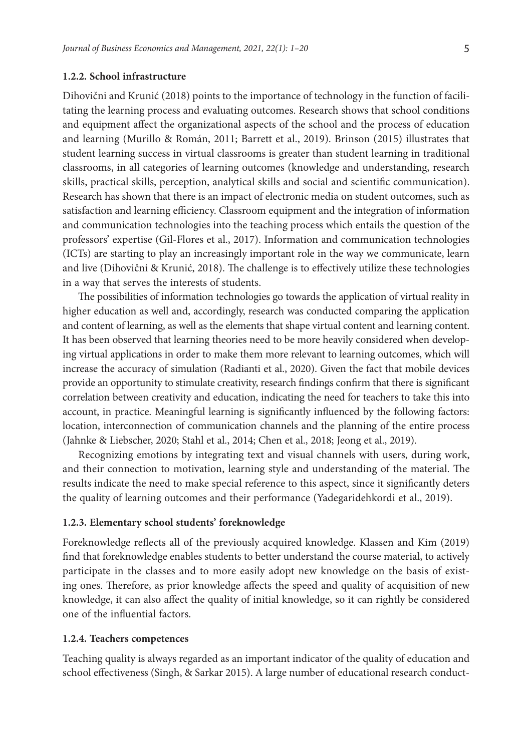#### **1.2.2. School infrastructure**

Dihovični and Krunić (2018) points to the importance of technology in the function of facilitating the learning process and evaluating outcomes. Research shows that school conditions and equipment affect the organizational aspects of the school and the process of education and learning (Murillo & Román, 2011; Barrett et al., 2019). Brinson (2015) illustrates that student learning success in virtual classrooms is greater than student learning in traditional classrooms, in all categories of learning outcomes (knowledge and understanding, research skills, practical skills, perception, analytical skills and social and scientific communication). Research has shown that there is an impact of electronic media on student outcomes, such as satisfaction and learning efficiency. Classroom equipment and the integration of information and communication technologies into the teaching process which entails the question of the professors' expertise (Gil-Flores et al., 2017). Information and communication technologies (ICTs) are starting to play an increasingly important role in the way we communicate, learn and live (Dihovični & Krunić, 2018). The challenge is to effectively utilize these technologies in a way that serves the interests of students.

The possibilities of information technologies go towards the application of virtual reality in higher education as well and, accordingly, research was conducted comparing the application and content of learning, as well as the elements that shape virtual content and learning content. It has been observed that learning theories need to be more heavily considered when developing virtual applications in order to make them more relevant to learning outcomes, which will increase the accuracy of simulation (Radianti et al., 2020). Given the fact that mobile devices provide an opportunity to stimulate creativity, research findings confirm that there is significant correlation between creativity and education, indicating the need for teachers to take this into account, in practice. Meaningful learning is significantly influenced by the following factors: location, interconnection of communication channels and the planning of the entire process (Jahnke & Liebscher, 2020; Stahl et al., 2014; Chen et al., 2018; Jeong et al., 2019).

Recognizing emotions by integrating text and visual channels with users, during work, and their connection to motivation, learning style and understanding of the material. The results indicate the need to make special reference to this aspect, since it significantly deters the quality of learning outcomes and their performance (Yadegaridehkordi et al., 2019).

#### **1.2.3. Elementary school students' foreknowledge**

Foreknowledge reflects all of the previously acquired knowledge. Klassen and Kim (2019) find that foreknowledge enables students to better understand the course material, to actively participate in the classes and to more easily adopt new knowledge on the basis of existing ones. Therefore, as prior knowledge affects the speed and quality of acquisition of new knowledge, it can also affect the quality of initial knowledge, so it can rightly be considered one of the influential factors.

### **1.2.4. Teachers competences**

Teaching quality is always regarded as an important indicator of the quality of education and school effectiveness (Singh, & Sarkar 2015). A large number of educational research conduct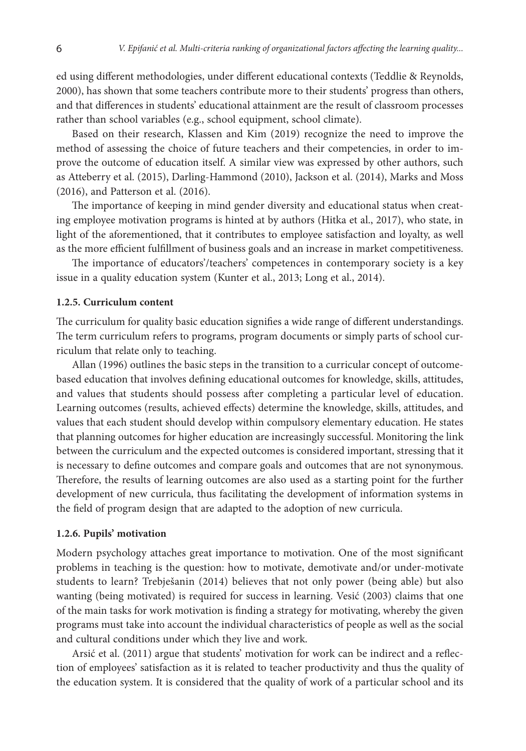ed using different methodologies, under different educational contexts (Teddlie & Reynolds, 2000), has shown that some teachers contribute more to their students' progress than others, and that differences in students' educational attainment are the result of classroom processes rather than school variables (e.g., school equipment, school climate).

Based on their research, Klassen and Kim (2019) recognize the need to improve the method of assessing the choice of future teachers and their competencies, in order to improve the outcome of education itself. А similar view was expressed by other authors, such as Atteberry et al. (2015), Darling-Hammond (2010), Jackson et al. (2014), Marks and Moss (2016), and Patterson et al. (2016).

The importance of keeping in mind gender diversity and educational status when creating employee motivation programs is hinted at by authors (Hitka et al., 2017), who state, in light of the aforementioned, that it contributes to employee satisfaction and loyalty, as well as the more efficient fulfillment of business goals and an increase in market competitiveness.

The importance of educators'/teachers' competences in contemporary society is a key issue in a quality education system (Kunter et al., 2013; Long et al., 2014).

## **1.2.5. Curriculum content**

The curriculum for quality basic education signifies a wide range of different understandings. The term curriculum refers to programs, program documents or simply parts of school curriculum that relate only to teaching.

Allan (1996) outlines the basic steps in the transition to a curricular concept of outcomebased education that involves defining educational outcomes for knowledge, skills, attitudes, and values that students should possess after completing a particular level of education. Learning outcomes (results, achieved effects) determine the knowledge, skills, attitudes, and values that each student should develop within compulsory elementary education. He states that planning outcomes for higher education are increasingly successful. Monitoring the link between the curriculum and the expected outcomes is considered important, stressing that it is necessary to define outcomes and compare goals and outcomes that are not synonymous. Therefore, the results of learning outcomes are also used as a starting point for the further development of new curricula, thus facilitating the development of information systems in the field of program design that are adapted to the adoption of new curricula.

#### **1.2.6. Pupils' motivation**

Modern psychology attaches great importance to motivation. One of the most significant problems in teaching is the question: how to motivate, demotivate and/or under-motivate students to learn? Trebješanin (2014) believes that not only power (being able) but also wanting (being motivated) is required for success in learning. Vesić (2003) claims that one of the main tasks for work motivation is finding a strategy for motivating, whereby the given programs must take into account the individual characteristics of people as well as the social and cultural conditions under which they live and work.

Arsić et al. (2011) argue that students' motivation for work can be indirect and a reflection of employees' satisfaction as it is related to teacher productivity and thus the quality of the education system. It is considered that the quality of work of a particular school and its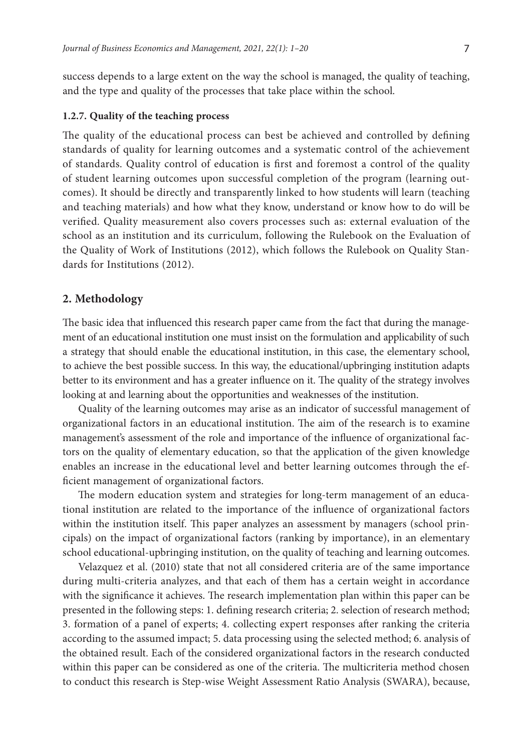success depends to a large extent on the way the school is managed, the quality of teaching, and the type and quality of the processes that take place within the school.

### **1.2.7. Quality of the teaching process**

The quality of the educational process can best be achieved and controlled by defining standards of quality for learning outcomes and a systematic control of the achievement of standards. Quality control of education is first and foremost a control of the quality of student learning outcomes upon successful completion of the program (learning outcomes). It should be directly and transparently linked to how students will learn (teaching and teaching materials) and how what they know, understand or know how to do will be verified. Quality measurement also covers processes such as: external evaluation of the school as an institution and its curriculum, following the Rulebook on the Evaluation of the Quality of Work of Institutions (2012), which follows the Rulebook on Quality Standards for Institutions (2012).

# **2. Methodology**

The basic idea that influenced this research paper came from the fact that during the management of an educational institution one must insist on the formulation and applicability of such a strategy that should enable the educational institution, in this case, the elementary school, to achieve the best possible success. In this way, the educational/upbringing institution adapts better to its environment and has a greater influence on it. The quality of the strategy involves looking at and learning about the opportunities and weaknesses of the institution.

Quality of the learning outcomes may arise as an indicator of successful management of organizational factors in an educational institution. The aim of the research is to examine management's assessment of the role and importance of the influence of organizational factors on the quality of elementary education, so that the application of the given knowledge enables an increase in the educational level and better learning outcomes through the efficient management of organizational factors.

The modern education system and strategies for long-term management of an educational institution are related to the importance of the influence of organizational factors within the institution itself. This paper analyzes an assessment by managers (school principals) on the impact of organizational factors (ranking by importance), in an elementary school educational-upbringing institution, on the quality of teaching and learning outcomes.

Velazquez et al. (2010) state that not all considered criteria are of the same importance during multi-criteria analyzes, and that each of them has a certain weight in accordance with the significance it achieves. The research implementation plan within this paper can be presented in the following steps: 1. defining research criteria; 2. selection of research method; 3. formation of a panel of experts; 4. collecting expert responses after ranking the criteria according to the assumed impact; 5. data processing using the selected method; 6. analysis of the obtained result. Each of the considered organizational factors in the research conducted within this paper can be considered as one of the criteria. The multicriteria method chosen to conduct this research is Step-wise Weight Assessment Ratio Analysis (SWARA), because,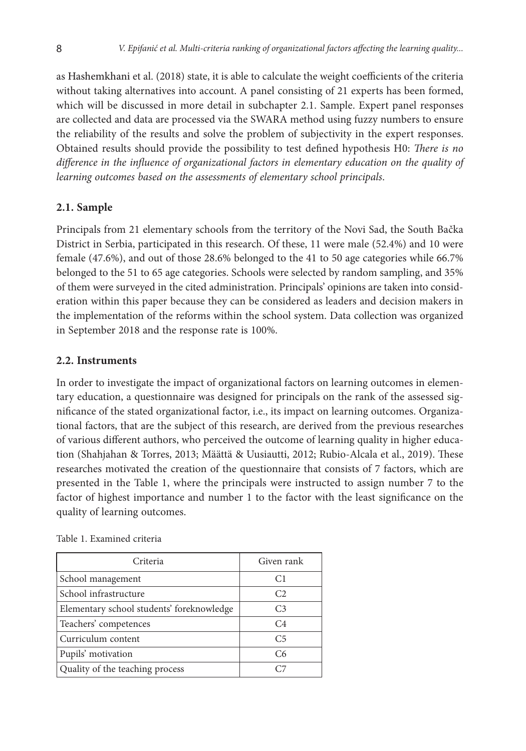as Hashemkhani et al. (2018) state, it is able to calculate the weight coefficients of the criteria without taking alternatives into account. A panel consisting of 21 experts has been formed, which will be discussed in more detail in subchapter 2.1. Sample. Expert panel responses are collected and data are processed via the SWARA method using fuzzy numbers to ensure the reliability of the results and solve the problem of subjectivity in the expert responses. Obtained results should provide the possibility to test defined hypothesis H0: *There is no difference in the influence of organizational factors in elementary education on the quality of learning outcomes based on the assessments of elementary school principals*.

# **2.1. Sample**

Principals from 21 elementary schools from the territory of the Novi Sad, the South Bačka District in Serbia, participated in this research. Of these, 11 were male (52.4%) and 10 were female (47.6%), and out of those 28.6% belonged to the 41 to 50 age categories while 66.7% belonged to the 51 to 65 age categories. Schools were selected by random sampling, and 35% of them were surveyed in the cited administration. Principals' opinions are taken into consideration within this paper because they can be considered as leaders and decision makers in the implementation of the reforms within the school system. Data collection was organized in September 2018 and the response rate is 100%.

# **2.2. Instruments**

In order to investigate the impact of organizational factors on learning outcomes in elementary education, a questionnaire was designed for principals on the rank of the assessed significance of the stated organizational factor, i.e., its impact on learning outcomes. Organizational factors, that are the subject of this research, are derived from the previous researches of various different authors, who perceived the outcome of learning quality in higher education (Shahjahan & Torres, 2013; Määttä & Uusiautti, 2012; Rubio-Alcala et al., 2019). These researches motivated the creation of the questionnaire that consists of 7 factors, which are presented in the Table 1, where the principals were instructed to assign number 7 to the factor of highest importance and number 1 to the factor with the least significance on the quality of learning outcomes.

| Criteria                                  | Given rank     |  |  |  |
|-------------------------------------------|----------------|--|--|--|
| School management                         | C <sub>1</sub> |  |  |  |
| School infrastructure                     | C <sub>2</sub> |  |  |  |
| Elementary school students' foreknowledge | C <sub>3</sub> |  |  |  |
| Teachers' competences                     | C <sub>4</sub> |  |  |  |
| Curriculum content                        | C <sub>5</sub> |  |  |  |
| Pupils' motivation                        | C <sub>6</sub> |  |  |  |
| Quality of the teaching process           |                |  |  |  |

|  | Table 1. Examined criteria |  |
|--|----------------------------|--|
|  |                            |  |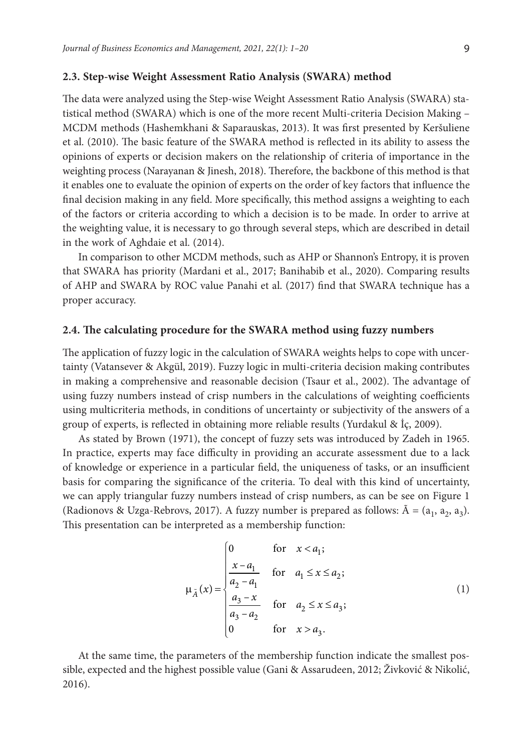### **2.3. Step-wise Weight Assessment Ratio Analysis (SWARA) method**

The data were analyzed using the Step-wise Weight Assessment Ratio Analysis (SWARA) statistical method (SWARA) which is one of the more recent Multi-criteria Decision Making – MCDM methods (Hashemkhani & Saparauskas, 2013). It was first presented by Keršuliene et al. (2010). The basic feature of the SWARA method is reflected in its ability to assess the opinions of experts or decision makers on the relationship of criteria of importance in the weighting process (Narayanan & Jinesh, 2018). Therefore, the backbone of this method is that it enables one to evaluate the opinion of experts on the order of key factors that influence the final decision making in any field. More specifically, this method assigns a weighting to each of the factors or criteria according to which a decision is to be made. In order to arrive at the weighting value, it is necessary to go through several steps, which are described in detail in the work of Aghdaie et al. (2014).

In comparison to other MCDM methods, such as AHP or Shannon's Entropy, it is proven that SWARA has priority (Mardani et al., 2017; Banihabib et al., 2020). Comparing results of AHP and SWARA by ROC value Panahi et al. (2017) find that SWARA technique has a proper accuracy.

### **2.4. The calculating procedure for the SWARA method using fuzzy numbers**

The application of fuzzy logic in the calculation of SWARA weights helps to cope with uncertainty (Vatansever & Akgül, 2019). Fuzzy logic in multi-criteria decision making contributes in making a comprehensive and reasonable decision (Tsaur et al., 2002). The advantage of using fuzzy numbers instead of crisp numbers in the calculations of weighting coefficients using multicriteria methods, in conditions of uncertainty or subjectivity of the answers of a group of experts, is reflected in obtaining more reliable results (Yurdakul & İç, 2009).

As stated by Brown (1971), the concept of fuzzy sets was introduced by Zadeh in 1965. In practice, experts may face difficulty in providing an accurate assessment due to a lack of knowledge or experience in a particular field, the uniqueness of tasks, or an insufficient basis for comparing the significance of the criteria. To deal with this kind of uncertainty, we can apply triangular fuzzy numbers instead of crisp numbers, as can be see on Figure 1 (Radionovs & Uzga-Rebrovs, 2017). A fuzzy number is prepared as follows:  $\tilde{A} = (a_1, a_2, a_3)$ . This presentation can be interpreted as a membership function:

$$
\mu_{\tilde{A}}(x) = \begin{cases}\n0 & \text{for } x < a_1; \\
\frac{x - a_1}{a_2 - a_1} & \text{for } a_1 \le x \le a_2; \\
\frac{a_3 - x}{a_3 - a_2} & \text{for } a_2 \le x \le a_3; \\
0 & \text{for } x > a_3.\n\end{cases}
$$
\n(1)

At the same time, the parameters of the membership function indicate the smallest possible, expected and the highest possible value (Gani & Assarudeen, 2012; Živković & Nikolić, 2016).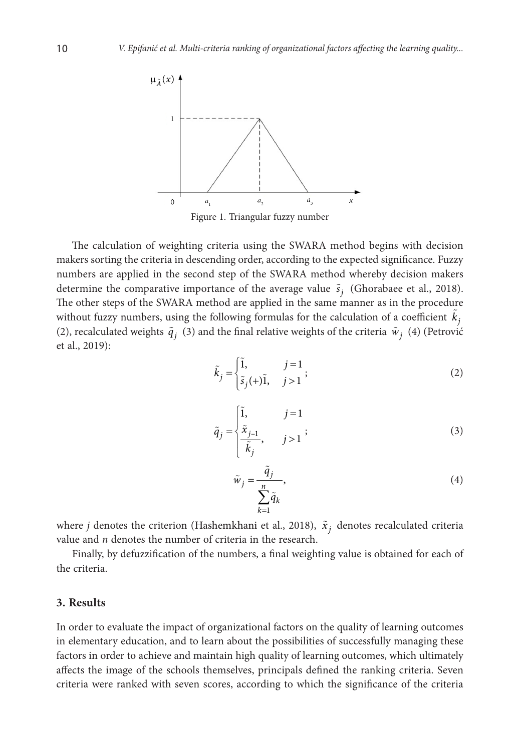

The calculation of weighting criteria using the SWARA method begins with decision makers sorting the criteria in descending order, according to the expected significance. Fuzzy numbers are applied in the second step of the SWARA method whereby decision makers determine the comparative importance of the average value  $\tilde{s}_i$  (Ghorabaee et al., 2018). The other steps of the SWARA method are applied in the same manner as in the procedure without fuzzy numbers, using the following formulas for the calculation of a coefficient  $\tilde{k}_j$ (2), recalculated weights  $\tilde{q}_j$  (3) and the final relative weights of the criteria  $\tilde{w}_j$  (4) (Petrović et al., 2019):

$$
\tilde{k}_j = \begin{cases} \tilde{1}, & j = 1 \\ \tilde{s}_j(+)\tilde{1}, & j > 1 \end{cases};
$$
\n(2)

$$
\tilde{q}_j = \begin{cases} \tilde{1}, & j = 1 \\ \tilde{x}_{j-1}, & j > 1 \end{cases};
$$
\n(3)

$$
\tilde{w}_j = \frac{\tilde{q}_j}{\sum_{k=1}^n \tilde{q}_k},\tag{4}
$$

where *j* denotes the criterion (Hashemkhani et al., 2018),  $\tilde{x}_j$  denotes recalculated criteria value and *n* denotes the number of criteria in the research.

Finally, by defuzzification of the numbers, a final weighting value is obtained for each of the criteria.

## **3. Results**

In order to evaluate the impact of organizational factors on the quality of learning outcomes in elementary education, and to learn about the possibilities of successfully managing these factors in order to achieve and maintain high quality of learning outcomes, which ultimately affects the image of the schools themselves, principals defined the ranking criteria. Seven criteria were ranked with seven scores, according to which the significance of the criteria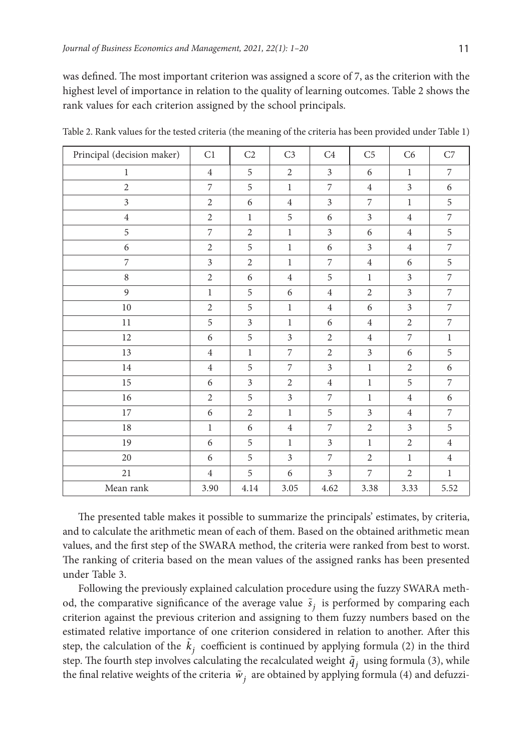was defined. The most important criterion was assigned a score of 7, as the criterion with the highest level of importance in relation to the quality of learning outcomes. Table 2 shows the rank values for each criterion assigned by the school principals.

| Principal (decision maker) | C1             | C2             | C <sub>3</sub>   | C4             | C <sub>5</sub>   | C6             | ${\rm C}7$       |
|----------------------------|----------------|----------------|------------------|----------------|------------------|----------------|------------------|
| $\mathbf{1}$               | $\overline{4}$ | 5              | $\boldsymbol{2}$ | $\mathfrak{Z}$ | 6                | $1\,$          | 7                |
| $\overline{2}$             | $\overline{7}$ | 5              | $\mathbf{1}$     | $\overline{7}$ | $\sqrt{4}$       | $\overline{3}$ | 6                |
| $\overline{\mathbf{3}}$    | $\overline{2}$ | 6              | $\overline{4}$   | $\overline{3}$ | $\boldsymbol{7}$ | $\mathbf{1}$   | 5                |
| $\,4$                      | $\overline{2}$ | $\,1$          | 5                | 6              | $\mathfrak{Z}$   | $\overline{4}$ | $\overline{7}$   |
| 5                          | $\overline{7}$ | $\sqrt{2}$     | $\mathbf{1}$     | $\mathfrak{Z}$ | 6                | $\overline{4}$ | 5                |
| $\boldsymbol{6}$           | $\overline{2}$ | $\,$ 5 $\,$    | $\mathbf{1}$     | 6              | $\mathfrak{Z}$   | $\overline{4}$ | 7                |
| $\overline{7}$             | $\overline{3}$ | $\overline{2}$ | $\mathbf{1}$     | $\overline{7}$ | $\overline{4}$   | 6              | 5                |
| $\,8\,$                    | $\overline{2}$ | 6              | $\overline{4}$   | 5              | $1\,$            | $\overline{3}$ | $\overline{7}$   |
| 9                          | $\mathbf{1}$   | $\mathfrak s$  | 6                | $\overline{4}$ | $\sqrt{2}$       | $\mathfrak{Z}$ | $\overline{7}$   |
| $10\,$                     | $\overline{2}$ | 5              | $\,1$            | $\overline{4}$ | 6                | 3              | $\overline{7}$   |
| $11\,$                     | 5              | $\mathfrak{Z}$ | $\,1$            | 6              | $\overline{4}$   | $\sqrt{2}$     | $\overline{7}$   |
| 12                         | 6              | 5              | $\mathfrak{Z}$   | $\overline{2}$ | $\overline{4}$   | 7              | $\mathbf{1}$     |
| 13                         | $\overline{4}$ | $\,1$          | 7                | $\overline{2}$ | $\overline{3}$   | 6              | 5                |
| $14\,$                     | $\overline{4}$ | 5              | 7                | $\mathfrak{Z}$ | $\mathbf{1}$     | $\overline{2}$ | 6                |
| $15\,$                     | 6              | $\mathfrak{Z}$ | $\overline{2}$   | $\overline{4}$ | $\,1\,$          | 5              | $\boldsymbol{7}$ |
| $16\,$                     | $\overline{2}$ | 5              | 3                | $\overline{7}$ | $\,1\,$          | $\overline{4}$ | 6                |
| 17                         | 6              | $\mathbf{2}$   | $\mathbf{1}$     | 5              | $\mathfrak{Z}$   | $\overline{4}$ | $\overline{7}$   |
| 18                         | $\mathbf{1}$   | 6              | $\overline{4}$   | 7              | $\overline{2}$   | 3              | 5                |
| 19                         | 6              | $\mathbf 5$    | $\mathbf{1}$     | 3              | $\mathbf{1}$     | $\overline{2}$ | $\overline{4}$   |
| 20                         | 6              | 5              | $\mathfrak{Z}$   | $\overline{7}$ | $\overline{2}$   | $\mathbf{1}$   | $\overline{4}$   |
| $21\,$                     | $\overline{4}$ | 5              | 6                | $\overline{3}$ | $\overline{7}$   | $\sqrt{2}$     | $\mathbf{1}$     |
| Mean rank                  | 3.90           | 4.14           | 3.05             | 4.62           | 3.38             | 3.33           | 5.52             |

Table 2. Rank values for the tested criteria (the meaning of the criteria has been provided under Table 1)

The presented table makes it possible to summarize the principals' estimates, by criteria, and to calculate the arithmetic mean of each of them. Based on the obtained arithmetic mean values, and the first step of the SWARA method, the criteria were ranked from best to worst. The ranking of criteria based on the mean values of the assigned ranks has been presented under Table 3.

Following the previously explained calculation procedure using the fuzzy SWARA method, the comparative significance of the average value  $\tilde{s}_i$  is performed by comparing each criterion against the previous criterion and assigning to them fuzzy numbers based on the estimated relative importance of one criterion considered in relation to another. After this step, the calculation of the  $\tilde{k}_j$  coefficient is continued by applying formula (2) in the third step. The fourth step involves calculating the recalculated weight  $\tilde{q}_j$  using formula (3), while the final relative weights of the criteria  $\tilde{w}_i$  are obtained by applying formula (4) and defuzzi-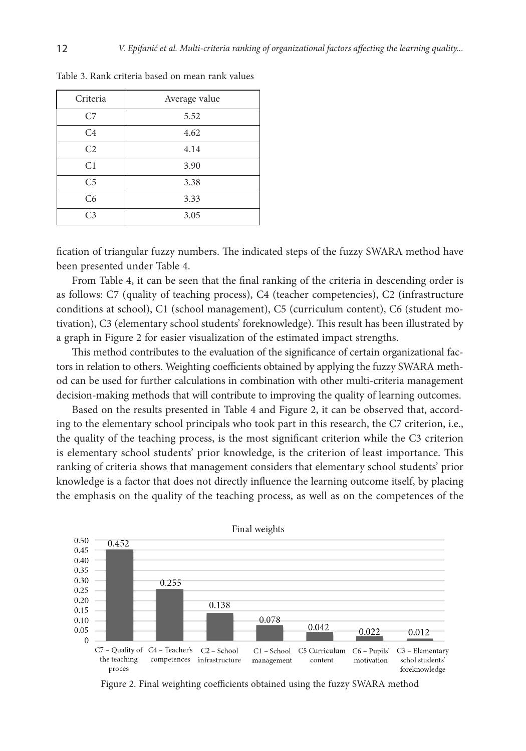| Criteria       | Average value |
|----------------|---------------|
| C7             | 5.52          |
| C4             | 4.62          |
| C <sub>2</sub> | 4.14          |
| C <sub>1</sub> | 3.90          |
| C <sub>5</sub> | 3.38          |
| C <sub>6</sub> | 3.33          |
| C <sub>3</sub> | 3.05          |

Table 3. Rank criteria based on mean rank values

fication of triangular fuzzy numbers. The indicated steps of the fuzzy SWARA method have been presented under Table 4.

From Table 4, it can be seen that the final ranking of the criteria in descending order is as follows: C7 (quality of teaching process), C4 (teacher competencies), C2 (infrastructure conditions at school), C1 (school management), C5 (curriculum content), C6 (student motivation), C3 (elementary school students' foreknowledge). This result has been illustrated by a graph in Figure 2 for easier visualization of the estimated impact strengths.

This method contributes to the evaluation of the significance of certain organizational factors in relation to others. Weighting coefficients obtained by applying the fuzzy SWARA method can be used for further calculations in combination with other multi-criteria management decision-making methods that will contribute to improving the quality of learning outcomes.

Based on the results presented in Table 4 and Figure 2, it can be observed that, according to the elementary school principals who took part in this research, the C7 criterion, i.e., the quality of the teaching process, is the most significant criterion while the C3 criterion is elementary school students' prior knowledge, is the criterion of least importance. This ranking of criteria shows that management considers that elementary school students' prior knowledge is a factor that does not directly influence the learning outcome itself, by placing the emphasis on the quality of the teaching process, as well as on the competences of the



Figure 2. Final weighting coefficients obtained using the fuzzy SWARA method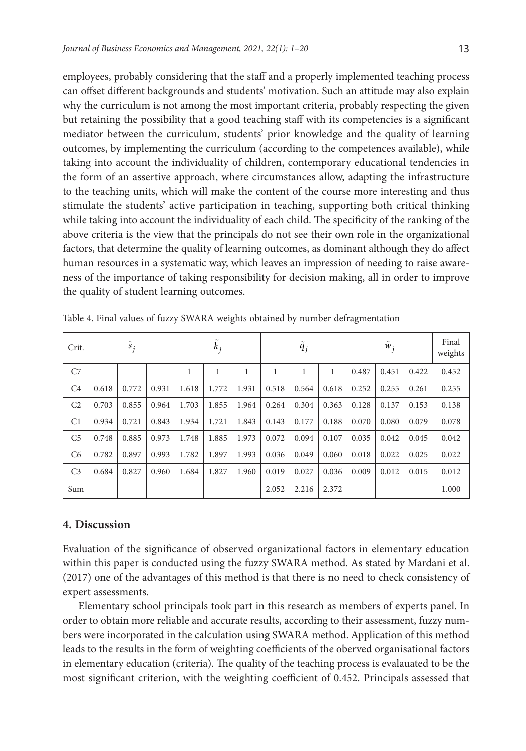employees, probably considering that the staff and a properly implemented teaching process can offset different backgrounds and students' motivation. Such an attitude may also explain why the curriculum is not among the most important criteria, probably respecting the given but retaining the possibility that a good teaching staff with its competencies is a significant mediator between the curriculum, students' prior knowledge and the quality of learning outcomes, by implementing the curriculum (according to the competences available), while taking into account the individuality of children, contemporary educational tendencies in the form of an assertive approach, where circumstances allow, adapting the infrastructure to the teaching units, which will make the content of the course more interesting and thus stimulate the students' active participation in teaching, supporting both critical thinking while taking into account the individuality of each child. The specificity of the ranking of the above criteria is the view that the principals do not see their own role in the organizational factors, that determine the quality of learning outcomes, as dominant although they do affect human resources in a systematic way, which leaves an impression of needing to raise awareness of the importance of taking responsibility for decision making, all in order to improve the quality of student learning outcomes.

| Crit.          | $\tilde{s}_i$ |       |       | $k_i$ |       |       | $\dot{q}_j$ |       |       | $W_i$ |       |       | Final<br>weights |
|----------------|---------------|-------|-------|-------|-------|-------|-------------|-------|-------|-------|-------|-------|------------------|
| C7             |               |       |       | 1     | 1     | 1     |             | 1     | 1     | 0.487 | 0.451 | 0.422 | 0.452            |
| C4             | 0.618         | 0.772 | 0.931 | 1.618 | 1.772 | 1.931 | 0.518       | 0.564 | 0.618 | 0.252 | 0.255 | 0.261 | 0.255            |
| C <sub>2</sub> | 0.703         | 0.855 | 0.964 | 1.703 | 1.855 | 1.964 | 0.264       | 0.304 | 0.363 | 0.128 | 0.137 | 0.153 | 0.138            |
| C <sub>1</sub> | 0.934         | 0.721 | 0.843 | 1.934 | 1.721 | 1.843 | 0.143       | 0.177 | 0.188 | 0.070 | 0.080 | 0.079 | 0.078            |
| C <sub>5</sub> | 0.748         | 0.885 | 0.973 | 1.748 | 1.885 | 1.973 | 0.072       | 0.094 | 0.107 | 0.035 | 0.042 | 0.045 | 0.042            |
| C <sub>6</sub> | 0.782         | 0.897 | 0.993 | 1.782 | 1.897 | 1.993 | 0.036       | 0.049 | 0.060 | 0.018 | 0.022 | 0.025 | 0.022            |
| C <sub>3</sub> | 0.684         | 0.827 | 0.960 | 1.684 | 1.827 | 1.960 | 0.019       | 0.027 | 0.036 | 0.009 | 0.012 | 0.015 | 0.012            |
| Sum            |               |       |       |       |       |       | 2.052       | 2.216 | 2.372 |       |       |       | 1.000            |

Table 4. Final values of fuzzy SWARA weights obtained by number defragmentation

# **4. Discussion**

Evaluation of the significance of observed organizational factors in elementary education within this paper is conducted using the fuzzy SWARA method. As stated by Mardani et al. (2017) one of the advantages of this method is that there is no need to check consistency of expert assessments.

Elementary school principals took part in this research as members of experts panel. In order to obtain more reliable and accurate results, according to their assessment, fuzzy numbers were incorporated in the calculation using SWARA method. Application of this method leads to the results in the form of weighting coefficients of the oberved organisational factors in elementary education (criteria). The quality of the teaching process is evalauated to be the most significant criterion, with the weighting coefficient of 0.452. Principals assessed that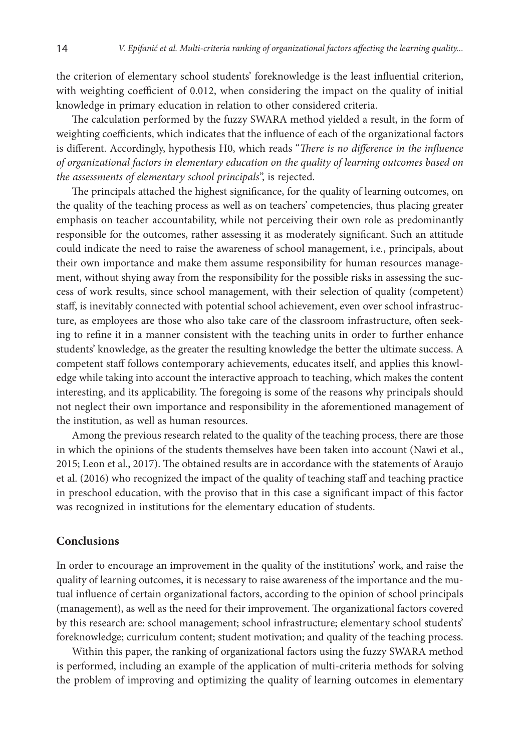the criterion of elementary school students' foreknowledge is the least influential criterion, with weighting coefficient of 0.012, when considering the impact on the quality of initial knowledge in primary education in relation to other considered criteria.

The calculation performed by the fuzzy SWARA method yielded a result, in the form of weighting coefficients, which indicates that the influence of each of the organizational factors is different. Accordingly, hypothesis H0, which reads "*There is no difference in the influence of organizational factors in elementary education on the quality of learning outcomes based on the assessments of elementary school principals*", is rejected.

The principals attached the highest significance, for the quality of learning outcomes, on the quality of the teaching process as well as on teachers' competencies, thus placing greater emphasis on teacher accountability, while not perceiving their own role as predominantly responsible for the outcomes, rather assessing it as moderately significant. Such an attitude could indicate the need to raise the awareness of school management, i.e*.*, principals, about their own importance and make them assume responsibility for human resources management, without shying away from the responsibility for the possible risks in assessing the success of work results, since school management, with their selection of quality (competent) staff, is inevitably connected with potential school achievement, even over school infrastructure, as employees are those who also take care of the classroom infrastructure, often seeking to refine it in a manner consistent with the teaching units in order to further enhance students' knowledge, as the greater the resulting knowledge the better the ultimate success. A competent staff follows contemporary achievements, educates itself, and applies this knowledge while taking into account the interactive approach to teaching, which makes the content interesting, and its applicability. The foregoing is some of the reasons why principals should not neglect their own importance and responsibility in the aforementioned management of the institution, as well as human resources.

Among the previous research related to the quality of the teaching process, there are those in which the opinions of the students themselves have been taken into account (Nawi et al., 2015; Leon et al., 2017). The obtained results are in accordance with the statements of Araujo et al. (2016) who recognized the impact of the quality of teaching staff and teaching practice in preschool education, with the proviso that in this case a significant impact of this factor was recognized in institutions for the elementary education of students.

### **Conclusions**

In order to encourage an improvement in the quality of the institutions' work, and raise the quality of learning outcomes, it is necessary to raise awareness of the importance and the mutual influence of certain organizational factors, according to the opinion of school principals (management), as well as the need for their improvement. The organizational factors covered by this research are: school management; school infrastructure; elementary school students' foreknowledge; curriculum content; student motivation; and quality of the teaching process.

Within this paper, the ranking of organizational factors using the fuzzy SWARA method is performed, including an example of the application of multi-criteria methods for solving the problem of improving and optimizing the quality of learning outcomes in elementary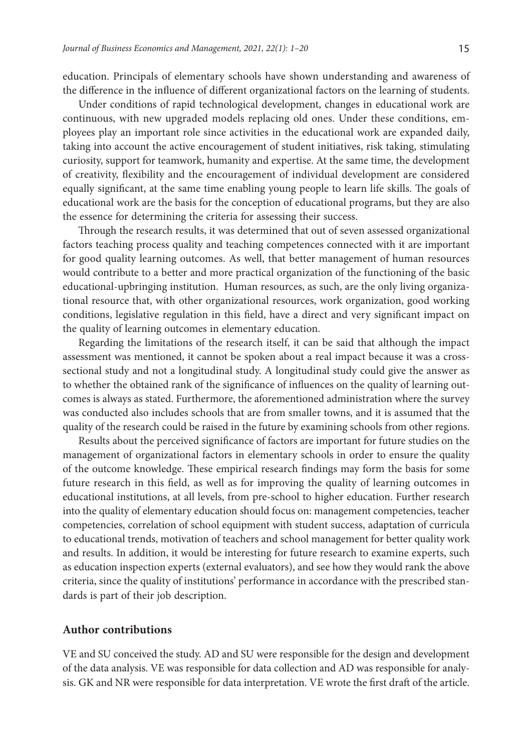education. Principals of elementary schools have shown understanding and awareness of the difference in the influence of different organizational factors on the learning of students.

Under conditions of rapid technological development, changes in educational work are continuous, with new upgraded models replacing old ones. Under these conditions, employees play an important role since activities in the educational work are expanded daily, taking into account the active encouragement of student initiatives, risk taking, stimulating curiosity, support for teamwork, humanity and expertise. At the same time, the development of creativity, flexibility and the encouragement of individual development are considered equally significant, at the same time enabling young people to learn life skills. The goals of educational work are the basis for the conception of educational programs, but they are also the essence for determining the criteria for assessing their success.

Through the research results, it was determined that out of seven assessed organizational factors teaching process quality and teaching competences connected with it are important for good quality learning outcomes. As well, that better management of human resources would contribute to a better and more practical organization of the functioning of the basic educational-upbringing institution. Human resources, as such, are the only living organizational resource that, with other organizational resources, work organization, good working conditions, legislative regulation in this field, have a direct and very significant impact on the quality of learning outcomes in elementary education.

Regarding the limitations of the research itself, it can be said that although the impact assessment was mentioned, it cannot be spoken about a real impact because it was a crosssectional study and not a longitudinal study. A longitudinal study could give the answer as to whether the obtained rank of the significance of influences on the quality of learning outcomes is always as stated. Furthermore, the aforementioned administration where the survey was conducted also includes schools that are from smaller towns, and it is assumed that the quality of the research could be raised in the future by examining schools from other regions.

Results about the perceived significance of factors are important for future studies on the management of organizational factors in elementary schools in order to ensure the quality of the outcome knowledge. These empirical research findings may form the basis for some future research in this field, as well as for improving the quality of learning outcomes in educational institutions, at all levels, from pre-school to higher education. Further research into the quality of elementary education should focus on: management competencies, teacher competencies, correlation of school equipment with student success, adaptation of curricula to educational trends, motivation of teachers and school management for better quality work and results. In addition, it would be interesting for future research to examine experts, such as education inspection experts (external evaluators), and see how they would rank the above criteria, since the quality of institutions' performance in accordance with the prescribed standards is part of their job description.

## **Author contributions**

VE and SU conceived the study. AD and SU were responsible for the design and development of the data analysis. VE was responsible for data collection and AD was responsible for analysis. GK and NR were responsible for data interpretation. VE wrote the first draft of the article.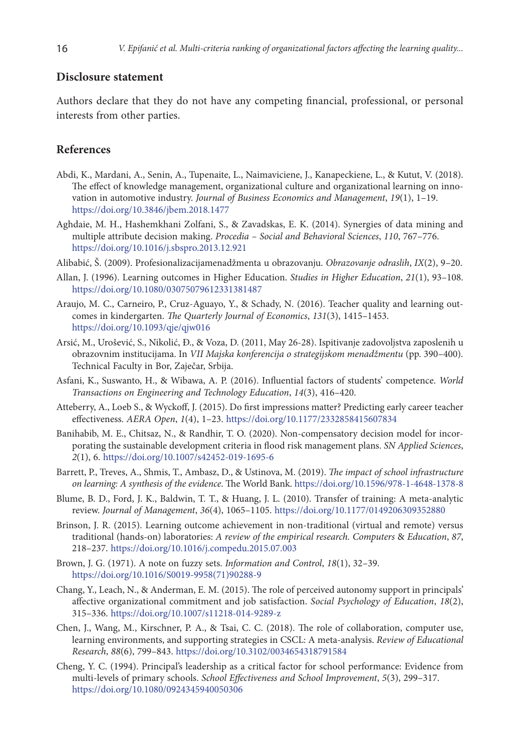### **Disclosure statement**

Authors declare that they do not have any competing financial, professional, or personal interests from other parties.

### **References**

- Abdi, K., Mardani, A., Senin, A., Tupenaite, L., Naimaviciene, J., Kanapeckiene, L., & Kutut, V. (2018). The effect of knowledge management, organizational culture and organizational learning on innovation in automotive industry. *Journal of Business Economics and Management*, *19*(1), 1–19. <https://doi.org/10.3846/jbem.2018.1477>
- Aghdaie, M. H., Hashemkhani Zolfani, S., & Zavadskas, E. K. (2014). Synergies of data mining and multiple attribute decision making. *Procedia – Social and Behavioral Sciences*, *110*, 767–776. <https://doi.org/10.1016/j.sbspro.2013.12.921>
- Alibabić, Š. (2009). Profesionalizacijamenadžmenta u obrazovanju. *Obrazovanje odraslih*, *IX*(2), 9–20.
- Allan, J. (1996). Learning outcomes in Higher Education. *Studies in Higher Education*, *21*(1), 93–108. <https://doi.org/10.1080/03075079612331381487>
- Araujo, M. C., Carneiro, P., Cruz-Aguayo, Y., & Schady, N. (2016). Teacher quality and learning outcomes in kindergarten. *The Quarterly Journal of Economics*, *131*(3), 1415–1453. <https://doi.org/10.1093/qje/qjw016>
- Arsić, M., Urošević, S., Nikolić, Đ., & Voza, D. (2011, May 26-28). Ispitivanje zadovoljstva zaposlenih u obrazovnim institucijama. In *VII Majska konferencija o strategijskom menadžmentu* (pp. 390–400)*.* Technical Faculty in Bor, Zaječar, Srbija.
- Asfani, K., Suswanto, H., & Wibawa, A. P. (2016). Influential factors of students' competence. *World Transactions on Engineering and Technology Education*, *14*(3), 416–420.
- Atteberry, A., Loeb S., & Wyckoff, J. (2015). Do first impressions matter? Predicting early career teacher effectiveness. *AERA Open*, *1*(4), 1–23. <https://doi.org/10.1177/2332858415607834>
- Banihabib, M. E., Chitsaz, N., & Randhir, T. O. (2020). Non-compensatory decision model for incorporating the sustainable development criteria in flood risk management plans. *SN Applied Sciences*, *2*(1), 6. <https://doi.org/10.1007/s42452-019-1695-6>
- Barrett, P., Treves, A., Shmis, T., Ambasz, D., & Ustinova, M. (2019). *The impact of school infrastructure on learning: A synthesis of the evidence*. The World Bank. <https://doi.org/10.1596/978-1-4648-1378-8>
- Blume, B. D., Ford, J. K., Baldwin, T. T., & Huang, J. L. (2010). Transfer of training: A meta-analytic review. *Journal of Management*, *36*(4), 1065–1105. <https://doi.org/10.1177/0149206309352880>
- Brinson, J. R. (2015). Learning outcome achievement in non-traditional (virtual and remote) versus traditional (hands-on) laboratories: *A review of the empirical research. Computers* & *Education*, *87*, 218–237. <https://doi.org/10.1016/j.compedu.2015.07.003>
- Brown, J. G. (1971). A note on fuzzy sets. *Information and Control*, *18*(1), 32–39. [https://doi.org/10.1016/S0019-9958\(71\)90288-9](https://doi.org/10.1016/S0019-9958(71)90288-9)
- Chang, Y., Leach, N., & Anderman, E. M. (2015). The role of perceived autonomy support in principals' affective organizational commitment and job satisfaction. *Social Psychology of Education*, *18*(2), 315–336. <https://doi.org/10.1007/s11218-014-9289-z>
- Chen, J., Wang, M., Kirschner, P. A., & Tsai, C. C. (2018). The role of collaboration, computer use, learning environments, and supporting strategies in CSCL: A meta-analysis. *Review of Educational Research*, *88*(6), 799–843. <https://doi.org/10.3102/0034654318791584>
- Cheng, Y. C. (1994). Principal's leadership as a critical factor for school performance: Evidence from multi‐levels of primary schools. *School Effectiveness and School Improvement*, *5*(3), 299–317. <https://doi.org/10.1080/0924345940050306>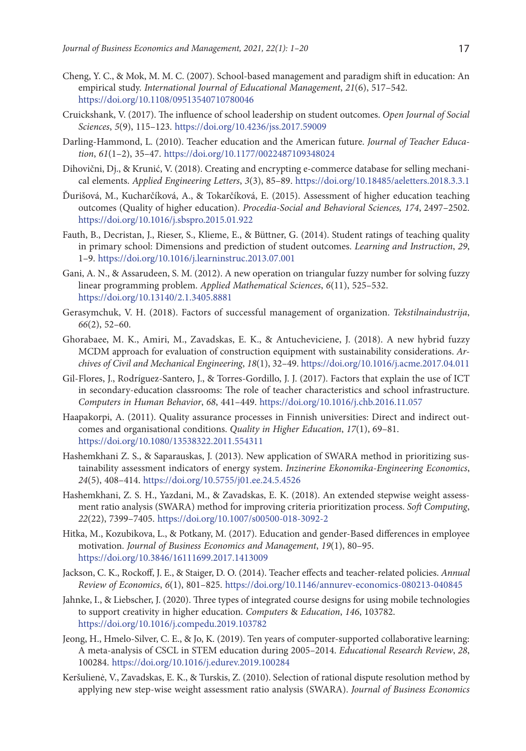- Cheng, Y. C., & Mok, M. M. C. (2007). School‐based management and paradigm shift in education: An empirical study. *International Journal of Educational Management*, *21*(6), 517–542. <https://doi.org/10.1108/09513540710780046>
- Cruickshank, V. (2017). The influence of school leadership on student outcomes. *Open Journal of Social Sciences*, *5*(9), 115–123. <https://doi.org/10.4236/jss.2017.59009>
- Darling-Hammond, L. (2010). Teacher education and the American future. *Journal of Teacher Education*, *61*(1–2), 35–47. <https://doi.org/10.1177/0022487109348024>
- Dihovični, Dj., & Krunić, V. (2018). Creating and encrypting e-commerce database for selling mechanical elements. *Applied Engineering Letters*, *3*(3), 85–89. <https://doi.org/10.18485/aeletters.2018.3.3.1>
- Ďurišová, M., Kucharčíková, A., & Tokarčíková, E. (2015). Assessment of higher education teaching outcomes (Quality of higher education). *Procedia-Social and Behavioral Sciences, 174*, 2497–2502. <https://doi.org/10.1016/j.sbspro.2015.01.922>
- Fauth, B., Decristan, J., Rieser, S., Klieme, E., & Büttner, G. (2014). Student ratings of teaching quality in primary school: Dimensions and prediction of student outcomes. *Learning and Instruction*, *29*, 1–9. <https://doi.org/10.1016/j.learninstruc.2013.07.001>
- Gani, A. N., & Assarudeen, S. M. (2012). A new operation on triangular fuzzy number for solving fuzzy linear programming problem. *Applied Mathematical Sciences*, *6*(11), 525–532. https://doi.org[/10.13140/2.1.3405.8881](https://www.researchgate.net/deref/http%3A%2F%2Fdx.doi.org%2F10.13140%2F2.1.3405.8881)
- Gerasymchuk, V. H. (2018). Factors of successful management of organization. *Tekstilnaindustrija*, *66*(2), 52–60.
- Ghorabaee, M. K., Amiri, M., Zavadskas, E. K., & Antucheviciene, J. (2018). A new hybrid fuzzy MCDM approach for evaluation of construction equipment with sustainability considerations. *Archives of Civil and Mechanical Engineering*, *18*(1), 32–49. <https://doi.org/10.1016/j.acme.2017.04.011>
- Gil-Flores, J., Rodríguez-Santero, J., & Torres-Gordillo, J. J. (2017). Factors that explain the use of ICT in secondary-education classrooms: The role of teacher characteristics and school infrastructure. *Computers in Human Behavior*, *68*, 441–449. <https://doi.org/10.1016/j.chb.2016.11.057>
- Haapakorpi, A. (2011). Quality assurance processes in Finnish universities: Direct and indirect outcomes and organisational conditions. *Quality in Higher Education*, *17*(1), 69–81. <https://doi.org/10.1080/13538322.2011.554311>
- Hashemkhani Z. S., & Saparauskas, J. (2013). New application of SWARA method in prioritizing sustainability assessment indicators of energy system. *Inzinerine Ekonomika-Engineering Economics*, *24*(5), 408–414. https://doi.org/10.5755/j01.ee.24.5.4526
- Hashemkhani, Z. S. H., Yazdani, M., & Zavadskas, E. K. (2018). An extended stepwise weight assessment ratio analysis (SWARA) method for improving criteria prioritization process. *Soft Computing*, *22*(22), 7399–7405. <https://doi.org/10.1007/s00500-018-3092-2>
- Hitka, M., Kozubikova, L., & Potkany, M. (2017). Education and gender-Based differences in employee motivation. *Journal of Business Economics and Management*, *19*(1), 80–95. <https://doi.org/10.3846/16111699.2017.1413009>
- Jackson, C. K., Rockoff, J. E., & Staiger, D. O. (2014). Teacher effects and teacher-related policies. *Annual Review of Economics*, *6*(1), 801–825. <https://doi.org/10.1146/annurev-economics-080213-040845>
- Jahnke, I., & Liebscher, J. (2020). Three types of integrated course designs for using mobile technologies to support creativity in higher education. *Computers* & *Education*, *146*, 103782. <https://doi.org/10.1016/j.compedu.2019.103782>
- Jeong, H., Hmelo-Silver, C. E., & Jo, K. (2019). Ten years of computer-supported collaborative learning: A meta-analysis of CSCL in STEM education during 2005–2014. *Educational Research Review*, *28*, 100284. <https://doi.org/10.1016/j.edurev.2019.100284>
- Keršulienė, V., Zavadskas, E. K., & Turskis, Z. (2010). Selection of rational dispute resolution method by applying new step-wise weight assessment ratio analysis (SWARA). *Journal of Business Economics*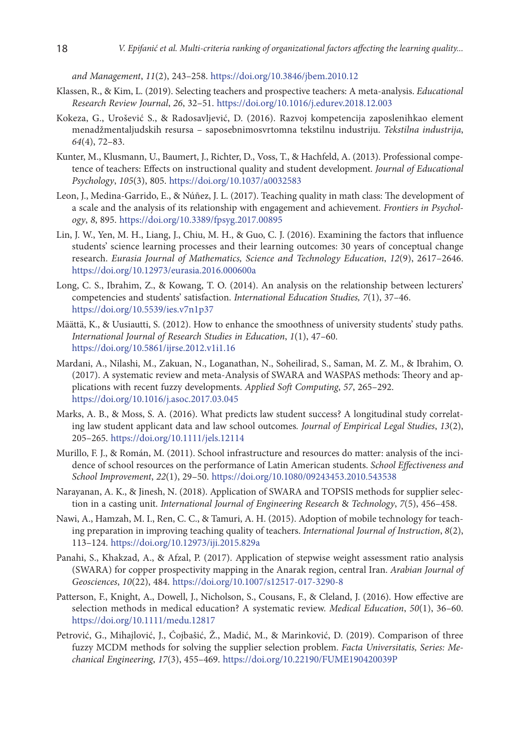*and Management*, *11*(2), 243–258. <https://doi.org/10.3846/jbem.2010.12>

- Klassen, R., & Kim, L. (2019). Selecting teachers and prospective teachers: A meta-analysis. *Educational Research Review Journal*, *26*, 32–51. <https://doi.org/10.1016/j.edurev.2018.12.003>
- Kokeza, G., Urošević S., & Radosavljević, D. (2016). Razvoj kompetencija zaposlenihkao element menadžmentaljudskih resursa – saposebnimosvrtomna tekstilnu industriju. *Tekstilna industrija*, *64*(4), 72–83.
- Kunter, M., Klusmann, U., Baumert, J., Richter, D., Voss, T., & Hachfeld, A. (2013). Professional competence of teachers: Effects on instructional quality and student development. *Journal of Educational Psychology*, *105*(3), 805. <https://doi.org/10.1037/a0032583>
- Leon, J., Medina-Garrido, E., & Núñez, J. L. (2017). Teaching quality in math class: The development of a scale and the analysis of its relationship with engagement and achievement. *Frontiers in Psychology*, *8*, 895. <https://doi.org/10.3389/fpsyg.2017.00895>
- Lin, J. W., Yen, M. H., Liang, J., Chiu, M. H., & Guo, C. J. (2016). Examining the factors that influence students' science learning processes and their learning outcomes: 30 years of conceptual change research. *Eurasia Journal of Mathematics, Science and Technology Education*, *12*(9), 2617–2646. <https://doi.org/10.12973/eurasia.2016.000600a>
- Long, C. S., Ibrahim, Z., & Kowang, T. O. (2014). An analysis on the relationship between lecturers' competencies and students' satisfaction. *International Education Studies, 7*(1), 37–46. <https://doi.org/10.5539/ies.v7n1p37>
- Määttä, K., & Uusiautti, S. (2012). How to enhance the smoothness of university students' study paths. *International Journal of Research Studies in Education*, *1*(1), 47–60. <https://doi.org/10.5861/ijrse.2012.v1i1.16>
- Mardani, A., Nilashi, M., Zakuan, N., Loganathan, N., Soheilirad, S., Saman, M. Z. M., & Ibrahim, O. (2017). A systematic review and meta-Analysis of SWARA and WASPAS methods: Theory and applications with recent fuzzy developments. *Applied Soft Computing*, *57*, 265–292. <https://doi.org/10.1016/j.asoc.2017.03.045>
- Marks, A. B., & Moss, S. A. (2016). What predicts law student success? A longitudinal study correlating law student applicant data and law school outcomes*. Journal of Empirical Legal Studies*, *13*(2), 205–265. <https://doi.org/10.1111/jels.12114>
- Murillo, F. J., & Román, M. (2011). School infrastructure and resources do matter: analysis of the incidence of school resources on the performance of Latin American students. *School Effectiveness and School Improvement*, *22*(1), 29–50. <https://doi.org/10.1080/09243453.2010.543538>
- Narayanan, A. K., & Jinesh, N. (2018). Application of SWARA and TOPSIS methods for supplier selection in a casting unit. *International Journal of Engineering Research* & *Technology*, *7*(5), 456–458.
- Nawi, A., Hamzah, M. I., Ren, C. C., & Tamuri, A. H. (2015). Adoption of mobile technology for teaching preparation in improving teaching quality of teachers. *International Journal of Instruction*, *8*(2), 113–124. <https://doi.org/10.12973/iji.2015.829a>
- Panahi, S., Khakzad, A., & Afzal, P. (2017). Application of stepwise weight assessment ratio analysis (SWARA) for copper prospectivity mapping in the Anarak region, central Iran. *Arabian Journal of Geosciences*, *10*(22), 484. <https://doi.org/10.1007/s12517-017-3290-8>
- Patterson, F., Knight, A., Dowell, J., Nicholson, S., Cousans, F., & Cleland, J. (2016). How effective are selection methods in medical education? A systematic review. *Medical Education*, *50*(1), 36–60. <https://doi.org/10.1111/medu.12817>
- Petrović, G., Mihajlović, J., Ćojbašić, Ž., Madić, M., & Marinković, D. (2019). Comparison of three fuzzy MCDM methods for solving the supplier selection problem. *Facta Universitatis, Series: Mechanical Engineering*, *17*(3), 455–469. <https://doi.org/10.22190/FUME190420039P>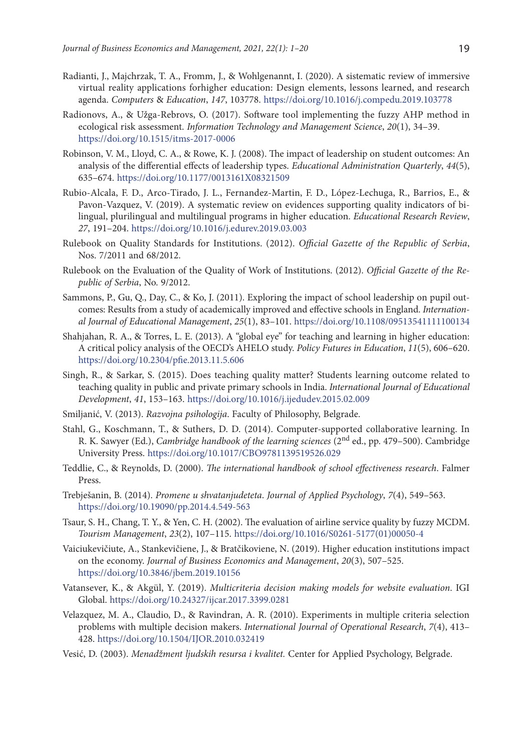- Radianti, J., Majchrzak, T. A., Fromm, J., & Wohlgenannt, I. (2020). A sistematic review of immersive virtual reality applications forhigher education: Design elements, lessons learned, and research agenda. *Computers* & *Education*, *147*, 103778. <https://doi.org/10.1016/j.compedu.2019.103778>
- Radionovs, A., & Užga-Rebrovs, O. (2017). Software tool implementing the fuzzy AHP method in ecological risk assessment. *Information Technology and Management Science*, *20*(1), 34–39. <https://doi.org/10.1515/itms-2017-0006>
- Robinson, V. M., Lloyd, C. A., & Rowe, K. J. (2008). The impact of leadership on student outcomes: An analysis of the differential effects of leadership types. *Educational Administration Quarterly*, *44*(5), 635–674. <https://doi.org/10.1177/0013161X08321509>
- Rubio-Alcala, F. D., Arco-Tirado, J. L., Fernandez-Martin, F. D., López-Lechuga, R., Barrios, E., & Pavon-Vazquez, V. (2019). A systematic review on evidences supporting quality indicators of bilingual, plurilingual and multilingual programs in higher education. *Educational Research Review*, *27*, 191–204. <https://doi.org/10.1016/j.edurev.2019.03.003>
- Rulebook on Quality Standards for Institutions. (2012). *Official Gazette of the Republic of Serbia*, Nos. 7/2011 and 68/2012.
- Rulebook on the Evaluation of the Quality of Work of Institutions. (2012). *Official Gazette of the Republic of Serbia*, No. 9/2012.
- Sammons, P., Gu, Q., Day, C., & Ko, J. (2011). Exploring the impact of school leadership on pupil outcomes: Results from a study of academically improved and effective schools in England. *International Journal of Educational Management*, *25*(1), 83–101.<https://doi.org/10.1108/09513541111100134>
- Shahjahan, R. A., & Torres, L. E. (2013). A "global eye" for teaching and learning in higher education: A critical policy analysis of the OECD's AHELO study. *Policy Futures in Education*, *11*(5), 606–620. <https://doi.org/10.2304/pfie.2013.11.5.606>
- Singh, R., & Sarkar, S. (2015). Does teaching quality matter? Students learning outcome related to teaching quality in public and private primary schools in India. *International Journal of Educational Development*, *41*, 153–163. <https://doi.org/10.1016/j.ijedudev.2015.02.009>
- Smiljanić, V. (2013). *Razvojna psihologija*. Faculty of Philosophy, Belgrade.
- Stahl, G., Koschmann, T., & Suthers, D. D. (2014). Computer-supported collaborative learning. In R. K. Sawyer (Ed.), *Cambridge handbook of the learning sciences* (2nd ed., pp. 479–500). Cambridge University Press. <https://doi.org/10.1017/CBO9781139519526.029>
- Teddlie, C., & Reynolds, D. (2000). *The international handbook of school effectiveness research*. Falmer Press.
- Trebješanin, B. (2014). *Promene u shvatanjudeteta*. *Journal of Applied Psychology*, *7*(4), 549–563. <https://doi.org/10.19090/pp.2014.4.549-563>
- Tsaur, S. H., Chang, T. Y., & Yen, C. H. (2002). The evaluation of airline service quality by fuzzy MCDM. *Tourism Management*, *23*(2), 107–115. [https://doi.org/10.1016/S0261-5177\(01\)00050-4](https://doi.org/10.1016/S0261-5177(01)00050-4)
- Vaiciukevičiute, A., Stankevičiene, J., & Bratčikoviene, N. (2019). Higher education institutions impact on the economy. *Journal of Business Economics and Management*, *20*(3), 507–525. <https://doi.org/10.3846/jbem.2019.10156>
- Vatansever, K., & Akgül, Y. (2019). *Multicriteria decision making models for website evaluation*. IGI Global.<https://doi.org/10.24327/ijcar.2017.3399.0281>
- Velazquez, M. A., Claudio, D., & Ravindran, A. R. (2010). Experiments in multiple criteria selection problems with multiple decision makers. *International Journal of Operational Research*, *7*(4), 413– 428. <https://doi.org/10.1504/IJOR.2010.032419>
- Vesić, D. (2003). *Menadžment ljudskih resursa i kvalitet.* Center for Applied Psychology, Belgrade.